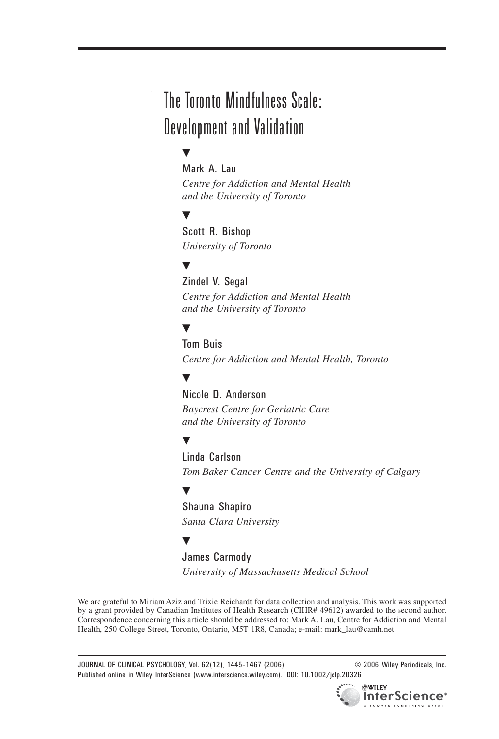# The Toronto Mindfulness Scale: Development and Validation

## Mark A. Lau

▼

*Centre for Addiction and Mental Health and the University of Toronto*

## Scott R. Bishop *University of Toronto*

## $\blacktriangledown$

 $\blacktriangledown$ 

## Zindel V. Segal

*Centre for Addiction and Mental Health and the University of Toronto*

## ▼

Tom Buis *Centre for Addiction and Mental Health, Toronto*

## $\blacktriangledown$

## Nicole D. Anderson

*Baycrest Centre for Geriatric Care and the University of Toronto*

## $\blacksquare$

Linda Carlson

*Tom Baker Cancer Centre and the University of Calgary*

## ▼

Shauna Shapiro *Santa Clara University*

## $\blacktriangledown$

James Carmody *University of Massachusetts Medical School*

JOURNAL OF CLINICAL PSYCHOLOGY, Vol. 62(12), 1445–1467 (2006) © 2006 Wiley Periodicals, Inc. Published online in Wiley InterScience (www.interscience.wiley.com). DOI: 10.1002/jclp.20326



We are grateful to Miriam Aziz and Trixie Reichardt for data collection and analysis. This work was supported by a grant provided by Canadian Institutes of Health Research (CIHR# 49612) awarded to the second author. Correspondence concerning this article should be addressed to: Mark A. Lau, Centre for Addiction and Mental Health, 250 College Street, Toronto, Ontario, M5T 1R8, Canada; e-mail: mark\_lau@camh.net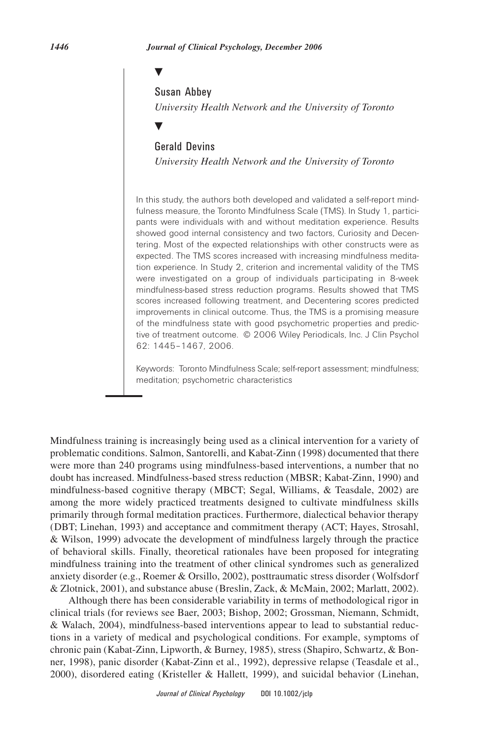$\blacktriangledown$ 

 $\blacktriangledown$ 

Susan Abbey *University Health Network and the University of Toronto*

## Gerald Devins *University Health Network and the University of Toronto*

In this study, the authors both developed and validated a self-report mindfulness measure, the Toronto Mindfulness Scale (TMS). In Study 1, participants were individuals with and without meditation experience. Results showed good internal consistency and two factors, Curiosity and Decentering. Most of the expected relationships with other constructs were as expected. The TMS scores increased with increasing mindfulness meditation experience. In Study 2, criterion and incremental validity of the TMS were investigated on a group of individuals participating in 8-week mindfulness-based stress reduction programs. Results showed that TMS scores increased following treatment, and Decentering scores predicted improvements in clinical outcome. Thus, the TMS is a promising measure of the mindfulness state with good psychometric properties and predictive of treatment outcome. © 2006 Wiley Periodicals, Inc. J Clin Psychol 62: 1445–1467, 2006.

Keywords: Toronto Mindfulness Scale; self-report assessment; mindfulness; meditation; psychometric characteristics

Mindfulness training is increasingly being used as a clinical intervention for a variety of problematic conditions. Salmon, Santorelli, and Kabat-Zinn (1998) documented that there were more than 240 programs using mindfulness-based interventions, a number that no doubt has increased. Mindfulness-based stress reduction (MBSR; Kabat-Zinn, 1990) and mindfulness-based cognitive therapy (MBCT; Segal, Williams, & Teasdale, 2002) are among the more widely practiced treatments designed to cultivate mindfulness skills primarily through formal meditation practices. Furthermore, dialectical behavior therapy (DBT; Linehan, 1993) and acceptance and commitment therapy (ACT; Hayes, Strosahl, & Wilson, 1999) advocate the development of mindfulness largely through the practice of behavioral skills. Finally, theoretical rationales have been proposed for integrating mindfulness training into the treatment of other clinical syndromes such as generalized anxiety disorder (e.g., Roemer & Orsillo, 2002), posttraumatic stress disorder (Wolfsdorf & Zlotnick, 2001), and substance abuse (Breslin, Zack, & McMain, 2002; Marlatt, 2002).

Although there has been considerable variability in terms of methodological rigor in clinical trials (for reviews see Baer, 2003; Bishop, 2002; Grossman, Niemann, Schmidt, & Walach, 2004), mindfulness-based interventions appear to lead to substantial reductions in a variety of medical and psychological conditions. For example, symptoms of chronic pain (Kabat-Zinn, Lipworth, & Burney, 1985), stress (Shapiro, Schwartz, & Bonner, 1998), panic disorder (Kabat-Zinn et al., 1992), depressive relapse (Teasdale et al., 2000), disordered eating (Kristeller & Hallett, 1999), and suicidal behavior (Linehan,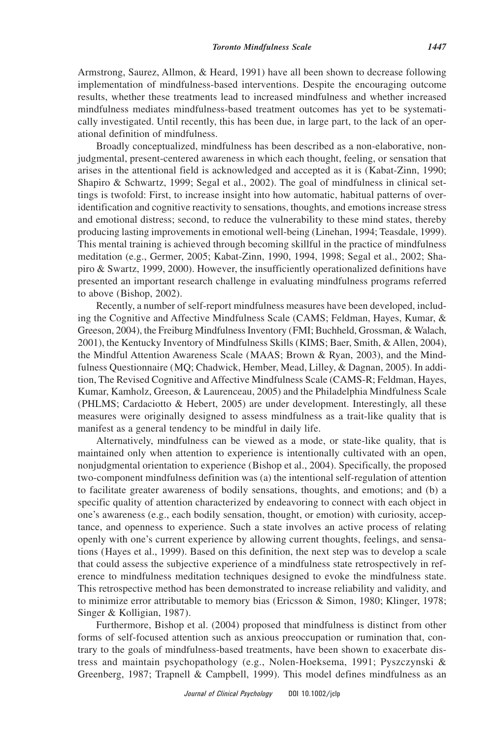Armstrong, Saurez, Allmon, & Heard, 1991) have all been shown to decrease following implementation of mindfulness-based interventions. Despite the encouraging outcome results, whether these treatments lead to increased mindfulness and whether increased mindfulness mediates mindfulness-based treatment outcomes has yet to be systematically investigated. Until recently, this has been due, in large part, to the lack of an operational definition of mindfulness.

Broadly conceptualized, mindfulness has been described as a non-elaborative, nonjudgmental, present-centered awareness in which each thought, feeling, or sensation that arises in the attentional field is acknowledged and accepted as it is (Kabat-Zinn, 1990; Shapiro & Schwartz, 1999; Segal et al., 2002). The goal of mindfulness in clinical settings is twofold: First, to increase insight into how automatic, habitual patterns of overidentification and cognitive reactivity to sensations, thoughts, and emotions increase stress and emotional distress; second, to reduce the vulnerability to these mind states, thereby producing lasting improvements in emotional well-being (Linehan, 1994; Teasdale, 1999). This mental training is achieved through becoming skillful in the practice of mindfulness meditation (e.g., Germer, 2005; Kabat-Zinn, 1990, 1994, 1998; Segal et al., 2002; Shapiro & Swartz, 1999, 2000). However, the insufficiently operationalized definitions have presented an important research challenge in evaluating mindfulness programs referred to above (Bishop, 2002).

Recently, a number of self-report mindfulness measures have been developed, including the Cognitive and Affective Mindfulness Scale (CAMS; Feldman, Hayes, Kumar, & Greeson, 2004), the Freiburg Mindfulness Inventory (FMI; Buchheld, Grossman, & Walach, 2001), the Kentucky Inventory of Mindfulness Skills (KIMS; Baer, Smith, & Allen, 2004), the Mindful Attention Awareness Scale (MAAS; Brown & Ryan, 2003), and the Mindfulness Questionnaire (MQ; Chadwick, Hember, Mead, Lilley, & Dagnan, 2005). In addition, The Revised Cognitive and Affective Mindfulness Scale (CAMS-R; Feldman, Hayes, Kumar, Kamholz, Greeson, & Laurenceau, 2005) and the Philadelphia Mindfulness Scale (PHLMS; Cardaciotto & Hebert, 2005) are under development. Interestingly, all these measures were originally designed to assess mindfulness as a trait-like quality that is manifest as a general tendency to be mindful in daily life.

Alternatively, mindfulness can be viewed as a mode, or state-like quality, that is maintained only when attention to experience is intentionally cultivated with an open, nonjudgmental orientation to experience (Bishop et al., 2004). Specifically, the proposed two-component mindfulness definition was (a) the intentional self-regulation of attention to facilitate greater awareness of bodily sensations, thoughts, and emotions; and (b) a specific quality of attention characterized by endeavoring to connect with each object in one's awareness (e.g., each bodily sensation, thought, or emotion) with curiosity, acceptance, and openness to experience. Such a state involves an active process of relating openly with one's current experience by allowing current thoughts, feelings, and sensations (Hayes et al., 1999). Based on this definition, the next step was to develop a scale that could assess the subjective experience of a mindfulness state retrospectively in reference to mindfulness meditation techniques designed to evoke the mindfulness state. This retrospective method has been demonstrated to increase reliability and validity, and to minimize error attributable to memory bias (Ericsson & Simon, 1980; Klinger, 1978; Singer & Kolligian, 1987).

Furthermore, Bishop et al. (2004) proposed that mindfulness is distinct from other forms of self-focused attention such as anxious preoccupation or rumination that, contrary to the goals of mindfulness-based treatments, have been shown to exacerbate distress and maintain psychopathology (e.g., Nolen-Hoeksema, 1991; Pyszczynski & Greenberg, 1987; Trapnell & Campbell, 1999). This model defines mindfulness as an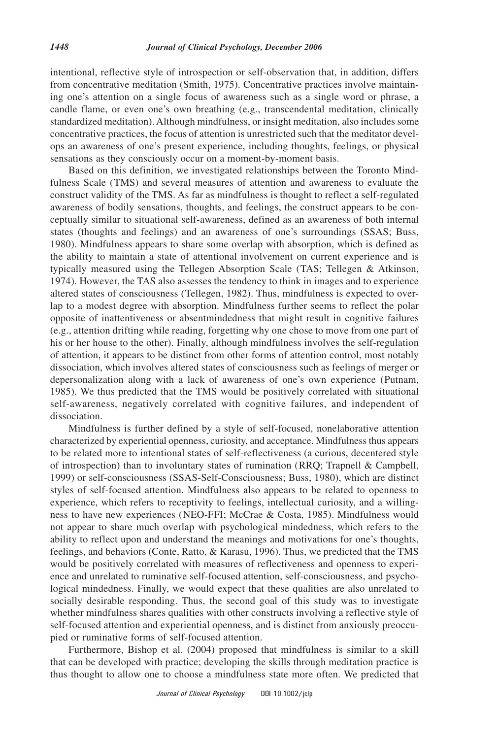intentional, reflective style of introspection or self-observation that, in addition, differs from concentrative meditation (Smith, 1975). Concentrative practices involve maintaining one's attention on a single focus of awareness such as a single word or phrase, a candle flame, or even one's own breathing (e.g., transcendental meditation, clinically standardized meditation). Although mindfulness, or insight meditation, also includes some concentrative practices, the focus of attention is unrestricted such that the meditator develops an awareness of one's present experience, including thoughts, feelings, or physical sensations as they consciously occur on a moment-by-moment basis.

Based on this definition, we investigated relationships between the Toronto Mindfulness Scale (TMS) and several measures of attention and awareness to evaluate the construct validity of the TMS. As far as mindfulness is thought to reflect a self-regulated awareness of bodily sensations, thoughts, and feelings, the construct appears to be conceptually similar to situational self-awareness, defined as an awareness of both internal states (thoughts and feelings) and an awareness of one's surroundings (SSAS; Buss, 1980). Mindfulness appears to share some overlap with absorption, which is defined as the ability to maintain a state of attentional involvement on current experience and is typically measured using the Tellegen Absorption Scale (TAS; Tellegen & Atkinson, 1974). However, the TAS also assesses the tendency to think in images and to experience altered states of consciousness (Tellegen, 1982). Thus, mindfulness is expected to overlap to a modest degree with absorption. Mindfulness further seems to reflect the polar opposite of inattentiveness or absentmindedness that might result in cognitive failures (e.g., attention drifting while reading, forgetting why one chose to move from one part of his or her house to the other). Finally, although mindfulness involves the self-regulation of attention, it appears to be distinct from other forms of attention control, most notably dissociation, which involves altered states of consciousness such as feelings of merger or depersonalization along with a lack of awareness of one's own experience (Putnam, 1985). We thus predicted that the TMS would be positively correlated with situational self-awareness, negatively correlated with cognitive failures, and independent of dissociation.

Mindfulness is further defined by a style of self-focused, nonelaborative attention characterized by experiential openness, curiosity, and acceptance. Mindfulness thus appears to be related more to intentional states of self-reflectiveness (a curious, decentered style of introspection) than to involuntary states of rumination (RRQ; Trapnell & Campbell, 1999) or self-consciousness (SSAS-Self-Consciousness; Buss, 1980), which are distinct styles of self-focused attention. Mindfulness also appears to be related to openness to experience, which refers to receptivity to feelings, intellectual curiosity, and a willingness to have new experiences (NEO-FFI; McCrae & Costa, 1985). Mindfulness would not appear to share much overlap with psychological mindedness, which refers to the ability to reflect upon and understand the meanings and motivations for one's thoughts, feelings, and behaviors (Conte, Ratto, & Karasu, 1996). Thus, we predicted that the TMS would be positively correlated with measures of reflectiveness and openness to experience and unrelated to ruminative self-focused attention, self-consciousness, and psychological mindedness. Finally, we would expect that these qualities are also unrelated to socially desirable responding. Thus, the second goal of this study was to investigate whether mindfulness shares qualities with other constructs involving a reflective style of self-focused attention and experiential openness, and is distinct from anxiously preoccupied or ruminative forms of self-focused attention.

Furthermore, Bishop et al. (2004) proposed that mindfulness is similar to a skill that can be developed with practice; developing the skills through meditation practice is thus thought to allow one to choose a mindfulness state more often. We predicted that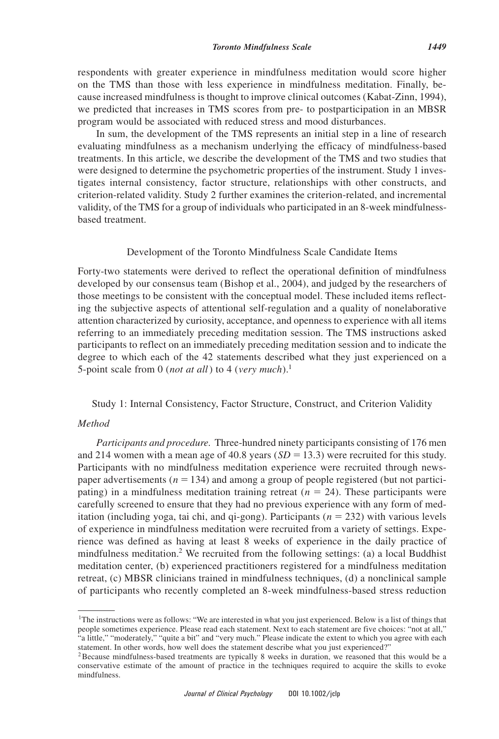respondents with greater experience in mindfulness meditation would score higher on the TMS than those with less experience in mindfulness meditation. Finally, because increased mindfulness is thought to improve clinical outcomes (Kabat-Zinn, 1994), we predicted that increases in TMS scores from pre- to postparticipation in an MBSR program would be associated with reduced stress and mood disturbances.

In sum, the development of the TMS represents an initial step in a line of research evaluating mindfulness as a mechanism underlying the efficacy of mindfulness-based treatments. In this article, we describe the development of the TMS and two studies that were designed to determine the psychometric properties of the instrument. Study 1 investigates internal consistency, factor structure, relationships with other constructs, and criterion-related validity. Study 2 further examines the criterion-related, and incremental validity, of the TMS for a group of individuals who participated in an 8-week mindfulnessbased treatment.

#### Development of the Toronto Mindfulness Scale Candidate Items

Forty-two statements were derived to reflect the operational definition of mindfulness developed by our consensus team (Bishop et al., 2004), and judged by the researchers of those meetings to be consistent with the conceptual model. These included items reflecting the subjective aspects of attentional self-regulation and a quality of nonelaborative attention characterized by curiosity, acceptance, and openness to experience with all items referring to an immediately preceding meditation session. The TMS instructions asked participants to reflect on an immediately preceding meditation session and to indicate the degree to which each of the 42 statements described what they just experienced on a 5-point scale from 0 (*not at all*) to 4 (*very much*).1

Study 1: Internal Consistency, Factor Structure, Construct, and Criterion Validity

#### *Method*

*Participants and procedure.* Three-hundred ninety participants consisting of 176 men and 214 women with a mean age of 40.8 years  $(SD = 13.3)$  were recruited for this study. Participants with no mindfulness meditation experience were recruited through newspaper advertisements  $(n = 134)$  and among a group of people registered (but not participating) in a mindfulness meditation training retreat  $(n = 24)$ . These participants were carefully screened to ensure that they had no previous experience with any form of meditation (including yoga, tai chi, and qi-gong). Participants  $(n = 232)$  with various levels of experience in mindfulness meditation were recruited from a variety of settings. Experience was defined as having at least 8 weeks of experience in the daily practice of mindfulness meditation.<sup>2</sup> We recruited from the following settings: (a) a local Buddhist meditation center, (b) experienced practitioners registered for a mindfulness meditation retreat, (c) MBSR clinicians trained in mindfulness techniques, (d) a nonclinical sample of participants who recently completed an 8-week mindfulness-based stress reduction

<sup>&</sup>lt;sup>1</sup>The instructions were as follows: "We are interested in what you just experienced. Below is a list of things that people sometimes experience. Please read each statement. Next to each statement are five choices: "not at all," "a little," "moderately," "quite a bit" and "very much." Please indicate the extent to which you agree with each statement. In other words, how well does the statement describe what you just experienced?"

<sup>&</sup>lt;sup>2</sup>Because mindfulness-based treatments are typically 8 weeks in duration, we reasoned that this would be a conservative estimate of the amount of practice in the techniques required to acquire the skills to evoke mindfulness.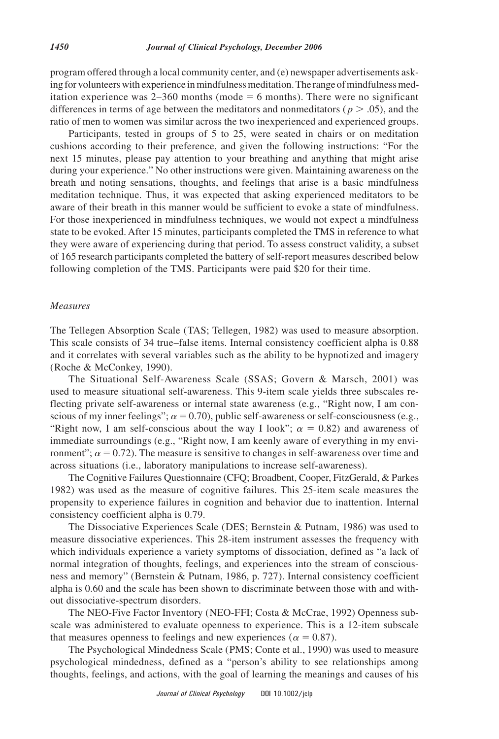program offered through a local community center, and (e) newspaper advertisements asking for volunteers with experience in mindfulness meditation. The range of mindfulness meditation experience was  $2-360$  months (mode  $= 6$  months). There were no significant differences in terms of age between the meditators and nonmeditators ( $p > .05$ ), and the ratio of men to women was similar across the two inexperienced and experienced groups.

Participants, tested in groups of 5 to 25, were seated in chairs or on meditation cushions according to their preference, and given the following instructions: "For the next 15 minutes, please pay attention to your breathing and anything that might arise during your experience." No other instructions were given. Maintaining awareness on the breath and noting sensations, thoughts, and feelings that arise is a basic mindfulness meditation technique. Thus, it was expected that asking experienced meditators to be aware of their breath in this manner would be sufficient to evoke a state of mindfulness. For those inexperienced in mindfulness techniques, we would not expect a mindfulness state to be evoked. After 15 minutes, participants completed the TMS in reference to what they were aware of experiencing during that period. To assess construct validity, a subset of 165 research participants completed the battery of self-report measures described below following completion of the TMS. Participants were paid \$20 for their time.

#### *Measures*

The Tellegen Absorption Scale (TAS; Tellegen, 1982) was used to measure absorption. This scale consists of 34 true–false items. Internal consistency coefficient alpha is 0.88 and it correlates with several variables such as the ability to be hypnotized and imagery (Roche & McConkey, 1990).

The Situational Self-Awareness Scale (SSAS; Govern & Marsch, 2001) was used to measure situational self-awareness. This 9-item scale yields three subscales reflecting private self-awareness or internal state awareness (e.g., "Right now, I am conscious of my inner feelings";  $\alpha = 0.70$ ), public self-awareness or self-consciousness (e.g., "Right now, I am self-conscious about the way I look";  $\alpha = 0.82$ ) and awareness of immediate surroundings (e.g., "Right now, I am keenly aware of everything in my environment";  $\alpha = 0.72$ ). The measure is sensitive to changes in self-awareness over time and across situations (i.e., laboratory manipulations to increase self-awareness).

The Cognitive Failures Questionnaire (CFQ; Broadbent, Cooper, FitzGerald, & Parkes 1982) was used as the measure of cognitive failures. This 25-item scale measures the propensity to experience failures in cognition and behavior due to inattention. Internal consistency coefficient alpha is 0.79.

The Dissociative Experiences Scale (DES; Bernstein & Putnam, 1986) was used to measure dissociative experiences. This 28-item instrument assesses the frequency with which individuals experience a variety symptoms of dissociation, defined as "a lack of normal integration of thoughts, feelings, and experiences into the stream of consciousness and memory" (Bernstein & Putnam, 1986, p. 727). Internal consistency coefficient alpha is 0.60 and the scale has been shown to discriminate between those with and without dissociative-spectrum disorders.

The NEO-Five Factor Inventory (NEO-FFI; Costa & McCrae, 1992) Openness subscale was administered to evaluate openness to experience. This is a 12-item subscale that measures openness to feelings and new experiences ( $\alpha = 0.87$ ).

The Psychological Mindedness Scale (PMS; Conte et al., 1990) was used to measure psychological mindedness, defined as a "person's ability to see relationships among thoughts, feelings, and actions, with the goal of learning the meanings and causes of his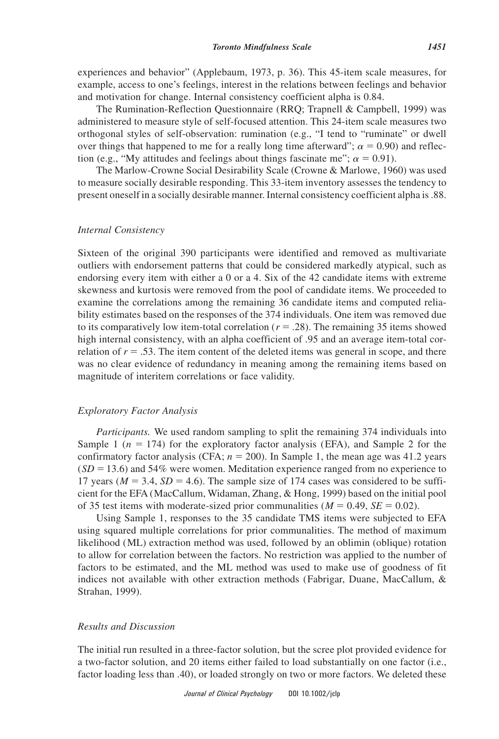experiences and behavior" (Applebaum, 1973, p. 36). This 45-item scale measures, for example, access to one's feelings, interest in the relations between feelings and behavior and motivation for change. Internal consistency coefficient alpha is 0.84.

The Rumination-Reflection Questionnaire (RRQ; Trapnell & Campbell, 1999) was administered to measure style of self-focused attention. This 24-item scale measures two orthogonal styles of self-observation: rumination (e.g., "I tend to "ruminate" or dwell over things that happened to me for a really long time afterward";  $\alpha = 0.90$ ) and reflection (e.g., "My attitudes and feelings about things fascinate me";  $\alpha = 0.91$ ).

The Marlow-Crowne Social Desirability Scale (Crowne & Marlowe, 1960) was used to measure socially desirable responding. This 33-item inventory assesses the tendency to present oneself in a socially desirable manner. Internal consistency coefficient alpha is .88.

#### *Internal Consistency*

Sixteen of the original 390 participants were identified and removed as multivariate outliers with endorsement patterns that could be considered markedly atypical, such as endorsing every item with either a 0 or a 4. Six of the 42 candidate items with extreme skewness and kurtosis were removed from the pool of candidate items. We proceeded to examine the correlations among the remaining 36 candidate items and computed reliability estimates based on the responses of the 374 individuals. One item was removed due to its comparatively low item-total correlation ( $r = .28$ ). The remaining 35 items showed high internal consistency, with an alpha coefficient of .95 and an average item-total correlation of  $r = .53$ . The item content of the deleted items was general in scope, and there was no clear evidence of redundancy in meaning among the remaining items based on magnitude of interitem correlations or face validity.

#### *Exploratory Factor Analysis*

*Participants.* We used random sampling to split the remaining 374 individuals into Sample 1 ( $n = 174$ ) for the exploratory factor analysis (EFA), and Sample 2 for the confirmatory factor analysis (CFA;  $n = 200$ ). In Sample 1, the mean age was 41.2 years  $(SD = 13.6)$  and 54% were women. Meditation experience ranged from no experience to 17 years ( $M = 3.4$ ,  $SD = 4.6$ ). The sample size of 174 cases was considered to be sufficient for the EFA (MacCallum, Widaman, Zhang, & Hong, 1999) based on the initial pool of 35 test items with moderate-sized prior communalities ( $M = 0.49$ ,  $SE = 0.02$ ).

Using Sample 1, responses to the 35 candidate TMS items were subjected to EFA using squared multiple correlations for prior communalities. The method of maximum likelihood (ML) extraction method was used, followed by an oblimin (oblique) rotation to allow for correlation between the factors. No restriction was applied to the number of factors to be estimated, and the ML method was used to make use of goodness of fit indices not available with other extraction methods (Fabrigar, Duane, MacCallum, & Strahan, 1999).

#### *Results and Discussion*

The initial run resulted in a three-factor solution, but the scree plot provided evidence for a two-factor solution, and 20 items either failed to load substantially on one factor (i.e., factor loading less than .40), or loaded strongly on two or more factors. We deleted these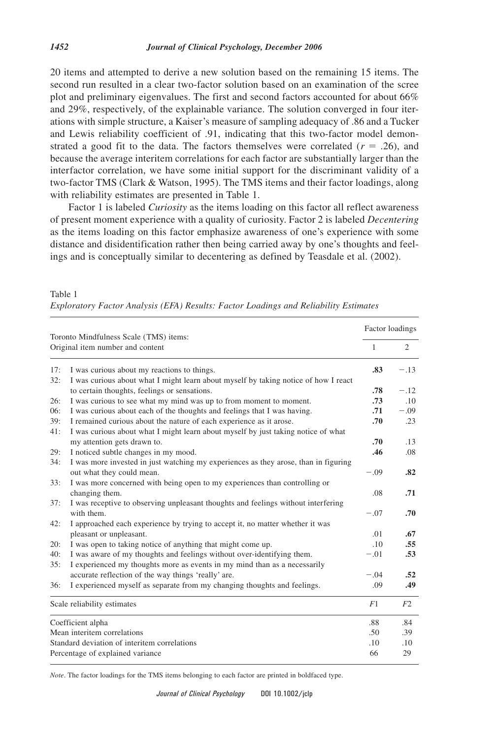20 items and attempted to derive a new solution based on the remaining 15 items. The second run resulted in a clear two-factor solution based on an examination of the scree plot and preliminary eigenvalues. The first and second factors accounted for about 66% and 29%, respectively, of the explainable variance. The solution converged in four iterations with simple structure, a Kaiser's measure of sampling adequacy of .86 and a Tucker and Lewis reliability coefficient of .91, indicating that this two-factor model demonstrated a good fit to the data. The factors themselves were correlated  $(r = .26)$ , and because the average interitem correlations for each factor are substantially larger than the interfactor correlation, we have some initial support for the discriminant validity of a two-factor TMS (Clark & Watson, 1995). The TMS items and their factor loadings, along with reliability estimates are presented in Table 1.

Factor 1 is labeled *Curiosity* as the items loading on this factor all reflect awareness of present moment experience with a quality of curiosity. Factor 2 is labeled *Decentering* as the items loading on this factor emphasize awareness of one's experience with some distance and disidentification rather then being carried away by one's thoughts and feelings and is conceptually similar to decentering as defined by Teasdale et al. (2002).

|     |                                                                                     |        | Factor loadings |  |
|-----|-------------------------------------------------------------------------------------|--------|-----------------|--|
|     | Toronto Mindfulness Scale (TMS) items:<br>Original item number and content          | 1      | $\overline{c}$  |  |
| 17: | I was curious about my reactions to things.                                         | .83    | $-.13$          |  |
| 32: | I was curious about what I might learn about myself by taking notice of how I react |        |                 |  |
|     | to certain thoughts, feelings or sensations.                                        | .78    | $-.12$          |  |
| 26: | I was curious to see what my mind was up to from moment to moment.                  | .73    | .10             |  |
| 06: | I was curious about each of the thoughts and feelings that I was having.            | .71    | $-.09$          |  |
| 39: | I remained curious about the nature of each experience as it arose.                 | .70    | .23             |  |
| 41: | I was curious about what I might learn about myself by just taking notice of what   |        |                 |  |
|     | my attention gets drawn to.                                                         | .70    | .13             |  |
| 29: | I noticed subtle changes in my mood.                                                | .46    | .08             |  |
| 34: | I was more invested in just watching my experiences as they arose, than in figuring |        |                 |  |
|     | out what they could mean.                                                           | $-.09$ | .82             |  |
| 33: | I was more concerned with being open to my experiences than controlling or          |        |                 |  |
|     | changing them.                                                                      | .08    | .71             |  |
| 37: | I was receptive to observing unpleasant thoughts and feelings without interfering   |        |                 |  |
|     | with them.                                                                          | $-.07$ | .70             |  |
| 42: | I approached each experience by trying to accept it, no matter whether it was       |        |                 |  |
|     | pleasant or unpleasant.                                                             | .01    | .67             |  |
| 20: | I was open to taking notice of anything that might come up.                         | .10    | .55             |  |
| 40: | I was aware of my thoughts and feelings without over-identifying them.              | $-.01$ | .53             |  |
| 35: | I experienced my thoughts more as events in my mind than as a necessarily           |        |                 |  |
|     | accurate reflection of the way things 'really' are.                                 | $-.04$ | .52             |  |
| 36: | I experienced myself as separate from my changing thoughts and feelings.            | .09    | .49             |  |
|     | Scale reliability estimates                                                         | F1     | F2              |  |
|     | Coefficient alpha                                                                   | .88    | .84             |  |
|     | Mean interitem correlations                                                         | .50    | .39             |  |
|     | Standard deviation of interitem correlations                                        | .10    | .10             |  |
|     | Percentage of explained variance                                                    | 66     | 29              |  |

Table 1 *Exploratory Factor Analysis (EFA) Results: Factor Loadings and Reliability Estimates*

*Note*. The factor loadings for the TMS items belonging to each factor are printed in boldfaced type.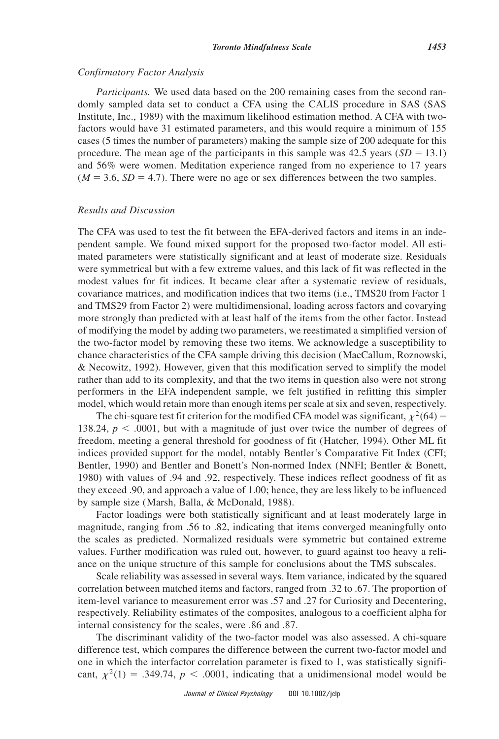#### *Confirmatory Factor Analysis*

*Participants.* We used data based on the 200 remaining cases from the second randomly sampled data set to conduct a CFA using the CALIS procedure in SAS (SAS Institute, Inc., 1989) with the maximum likelihood estimation method. A CFA with twofactors would have 31 estimated parameters, and this would require a minimum of 155 cases (5 times the number of parameters) making the sample size of 200 adequate for this procedure. The mean age of the participants in this sample was  $42.5$  years  $(SD = 13.1)$ and 56% were women. Meditation experience ranged from no experience to 17 years  $(M = 3.6, SD = 4.7)$ . There were no age or sex differences between the two samples.

#### *Results and Discussion*

The CFA was used to test the fit between the EFA-derived factors and items in an independent sample. We found mixed support for the proposed two-factor model. All estimated parameters were statistically significant and at least of moderate size. Residuals were symmetrical but with a few extreme values, and this lack of fit was reflected in the modest values for fit indices. It became clear after a systematic review of residuals, covariance matrices, and modification indices that two items (i.e., TMS20 from Factor 1 and TMS29 from Factor 2) were multidimensional, loading across factors and covarying more strongly than predicted with at least half of the items from the other factor. Instead of modifying the model by adding two parameters, we reestimated a simplified version of the two-factor model by removing these two items. We acknowledge a susceptibility to chance characteristics of the CFA sample driving this decision (MacCallum, Roznowski, & Necowitz, 1992). However, given that this modification served to simplify the model rather than add to its complexity, and that the two items in question also were not strong performers in the EFA independent sample, we felt justified in refitting this simpler model, which would retain more than enough items per scale at six and seven, respectively.

The chi-square test fit criterion for the modified CFA model was significant,  $\chi^2(64)$  = 138.24,  $p < .0001$ , but with a magnitude of just over twice the number of degrees of freedom, meeting a general threshold for goodness of fit (Hatcher, 1994). Other ML fit indices provided support for the model, notably Bentler's Comparative Fit Index (CFI; Bentler, 1990) and Bentler and Bonett's Non-normed Index (NNFI; Bentler & Bonett, 1980) with values of .94 and .92, respectively. These indices reflect goodness of fit as they exceed .90, and approach a value of 1.00; hence, they are less likely to be influenced by sample size (Marsh, Balla, & McDonald, 1988).

Factor loadings were both statistically significant and at least moderately large in magnitude, ranging from .56 to .82, indicating that items converged meaningfully onto the scales as predicted. Normalized residuals were symmetric but contained extreme values. Further modification was ruled out, however, to guard against too heavy a reliance on the unique structure of this sample for conclusions about the TMS subscales.

Scale reliability was assessed in several ways. Item variance, indicated by the squared correlation between matched items and factors, ranged from .32 to .67. The proportion of item-level variance to measurement error was .57 and .27 for Curiosity and Decentering, respectively. Reliability estimates of the composites, analogous to a coefficient alpha for internal consistency for the scales, were .86 and .87.

The discriminant validity of the two-factor model was also assessed. A chi-square difference test, which compares the difference between the current two-factor model and one in which the interfactor correlation parameter is fixed to 1, was statistically significant,  $\chi^2(1) = .349.74$ ,  $p < .0001$ , indicating that a unidimensional model would be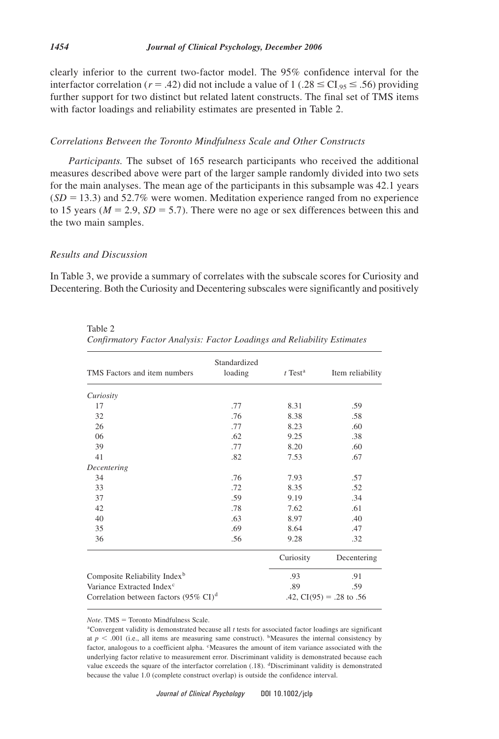clearly inferior to the current two-factor model. The 95% confidence interval for the interfactor correlation ( $r = .42$ ) did not include a value of 1 (.28  $\leq$  CI<sub>.95</sub>  $\leq$  .56) providing further support for two distinct but related latent constructs. The final set of TMS items with factor loadings and reliability estimates are presented in Table 2.

#### *Correlations Between the Toronto Mindfulness Scale and Other Constructs*

*Participants.* The subset of 165 research participants who received the additional measures described above were part of the larger sample randomly divided into two sets for the main analyses. The mean age of the participants in this subsample was 42.1 years  $(SD = 13.3)$  and 52.7% were women. Meditation experience ranged from no experience to 15 years ( $M = 2.9$ ,  $SD = 5.7$ ). There were no age or sex differences between this and the two main samples.

#### *Results and Discussion*

In Table 3, we provide a summary of correlates with the subscale scores for Curiosity and Decentering. Both the Curiosity and Decentering subscales were significantly and positively

| TMS Factors and item numbers                      | Standardized<br>loading | $t$ Test <sup>a</sup> | Item reliability           |
|---------------------------------------------------|-------------------------|-----------------------|----------------------------|
| Curiosity                                         |                         |                       |                            |
| 17                                                | .77                     | 8.31                  | .59                        |
| 32                                                | .76                     | 8.38                  | .58                        |
| 26                                                | .77                     | 8.23                  | .60                        |
| 06                                                | .62                     | 9.25                  | .38                        |
| 39                                                | .77                     | 8.20                  | .60                        |
| 41                                                | .82                     | 7.53                  | .67                        |
| Decentering                                       |                         |                       |                            |
| 34                                                | .76                     | 7.93                  | .57                        |
| 33                                                | .72                     | 8.35                  | .52                        |
| 37                                                | .59                     | 9.19                  | .34                        |
| 42                                                | .78                     | 7.62                  | .61                        |
| 40                                                | .63                     | 8.97                  | .40                        |
| 35                                                | .69                     | 8.64                  | .47                        |
| 36                                                | .56                     | 9.28                  | .32                        |
|                                                   |                         | Curiosity             | Decentering                |
| Composite Reliability Index <sup>b</sup>          |                         | .93                   | .91                        |
| Variance Extracted Index <sup>c</sup>             |                         | .89                   | .59                        |
| Correlation between factors (95% CI) <sup>d</sup> |                         |                       | .42, $CI(95) = .28$ to .56 |

Table 2 *Confirmatory Factor Analysis: Factor Loadings and Reliability Estimates*

*Note*. TMS = Toronto Mindfulness Scale.

a Convergent validity is demonstrated because all *t* tests for associated factor loadings are significant at  $p < .001$  (i.e., all items are measuring same construct). <sup>b</sup>Measures the internal consistency by factor, analogous to a coefficient alpha. "Measures the amount of item variance associated with the underlying factor relative to measurement error. Discriminant validity is demonstrated because each value exceeds the square of the interfactor correlation (.18). dDiscriminant validity is demonstrated because the value 1.0 (complete construct overlap) is outside the confidence interval.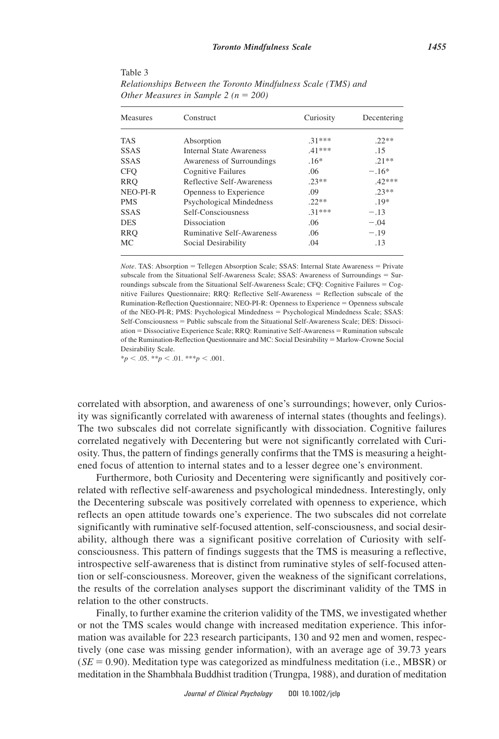| Table 3                                                       |
|---------------------------------------------------------------|
| Relationships Between the Toronto Mindfulness Scale (TMS) and |
| Other Measures in Sample 2 ( $n = 200$ )                      |

| <b>Measures</b> | Construct                        | Curiosity | Decentering |
|-----------------|----------------------------------|-----------|-------------|
| <b>TAS</b>      | Absorption                       | $31***$   | $22**$      |
| <b>SSAS</b>     | <b>Internal State Awareness</b>  | $.41***$  | 15          |
| <b>SSAS</b>     | Awareness of Surroundings        | $.16*$    | $21**$      |
| <b>CFO</b>      | Cognitive Failures               | .06       | $-16*$      |
| <b>RRO</b>      | Reflective Self-Awareness        | $23**$    | $42***$     |
| NEO-PI-R        | Openness to Experience           | .09       | $23**$      |
| <b>PMS</b>      | <b>Psychological Mindedness</b>  | $22**$    | $.19*$      |
| <b>SSAS</b>     | Self-Consciousness               | $.31***$  | $-.13$      |
| <b>DES</b>      | Dissociation                     | .06       | $-.04$      |
| <b>RRO</b>      | <b>Ruminative Self-Awareness</b> | .06       | $-.19$      |
| MC.             | Social Desirability              | .04       | .13         |

*Note*. TAS: Absorption = Tellegen Absorption Scale; SSAS: Internal State Awareness = Private subscale from the Situational Self-Awareness Scale; SSAS: Awareness of Surroundings = Surroundings subscale from the Situational Self-Awareness Scale; CFQ: Cognitive Failures = Cognitive Failures Questionnaire; RRQ: Reflective Self-Awareness = Reflection subscale of the Rumination-Reflection Questionnaire; NEO-PI-R: Openness to Experience Openness subscale of the NEO-PI-R; PMS: Psychological Mindedness Psychological Mindedness Scale; SSAS: Self-Consciousness Public subscale from the Situational Self-Awareness Scale; DES: Dissociation = Dissociative Experience Scale; RRQ: Ruminative Self-Awareness = Rumination subscale of the Rumination-Reflection Questionnaire and MC: Social Desirability = Marlow-Crowne Social Desirability Scale.

 $^{*}p < .05.$   $^{**}p < .01.$   $^{***}p < .001.$ 

correlated with absorption, and awareness of one's surroundings; however, only Curiosity was significantly correlated with awareness of internal states (thoughts and feelings). The two subscales did not correlate significantly with dissociation. Cognitive failures correlated negatively with Decentering but were not significantly correlated with Curiosity. Thus, the pattern of findings generally confirms that the TMS is measuring a heightened focus of attention to internal states and to a lesser degree one's environment.

Furthermore, both Curiosity and Decentering were significantly and positively correlated with reflective self-awareness and psychological mindedness. Interestingly, only the Decentering subscale was positively correlated with openness to experience, which reflects an open attitude towards one's experience. The two subscales did not correlate significantly with ruminative self-focused attention, self-consciousness, and social desirability, although there was a significant positive correlation of Curiosity with selfconsciousness. This pattern of findings suggests that the TMS is measuring a reflective, introspective self-awareness that is distinct from ruminative styles of self-focused attention or self-consciousness. Moreover, given the weakness of the significant correlations, the results of the correlation analyses support the discriminant validity of the TMS in relation to the other constructs.

Finally, to further examine the criterion validity of the TMS, we investigated whether or not the TMS scales would change with increased meditation experience. This information was available for 223 research participants, 130 and 92 men and women, respectively (one case was missing gender information), with an average age of 39.73 years  $(SE = 0.90)$ . Meditation type was categorized as mindfulness meditation (i.e., MBSR) or meditation in the Shambhala Buddhist tradition (Trungpa, 1988), and duration of meditation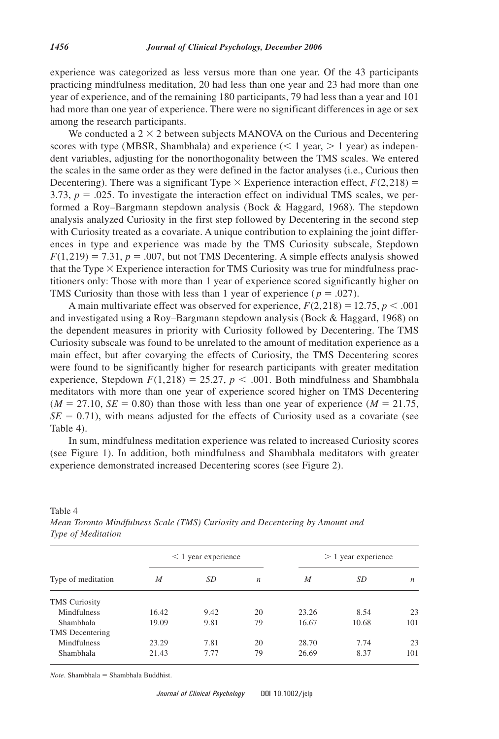experience was categorized as less versus more than one year. Of the 43 participants practicing mindfulness meditation, 20 had less than one year and 23 had more than one year of experience, and of the remaining 180 participants, 79 had less than a year and 101 had more than one year of experience. There were no significant differences in age or sex among the research participants.

We conducted a  $2 \times 2$  between subjects MANOVA on the Curious and Decentering scores with type (MBSR, Shambhala) and experience  $(< 1$  year,  $> 1$  year) as independent variables, adjusting for the nonorthogonality between the TMS scales. We entered the scales in the same order as they were defined in the factor analyses (i.e., Curious then Decentering). There was a significant Type  $\times$  Experience interaction effect,  $F(2,218)$  = 3.73,  $p = 0.025$ . To investigate the interaction effect on individual TMS scales, we performed a Roy–Bargmann stepdown analysis (Bock & Haggard, 1968). The stepdown analysis analyzed Curiosity in the first step followed by Decentering in the second step with Curiosity treated as a covariate. A unique contribution to explaining the joint differences in type and experience was made by the TMS Curiosity subscale, Stepdown  $F(1,219) = 7.31, p = .007$ , but not TMS Decentering. A simple effects analysis showed that the Type  $\times$  Experience interaction for TMS Curiosity was true for mindfulness practitioners only: Those with more than 1 year of experience scored significantly higher on TMS Curiosity than those with less than 1 year of experience ( $p = .027$ ).

A main multivariate effect was observed for experience,  $F(2,218) = 12.75$ ,  $p < .001$ and investigated using a Roy–Bargmann stepdown analysis (Bock & Haggard, 1968) on the dependent measures in priority with Curiosity followed by Decentering. The TMS Curiosity subscale was found to be unrelated to the amount of meditation experience as a main effect, but after covarying the effects of Curiosity, the TMS Decentering scores were found to be significantly higher for research participants with greater meditation experience, Stepdown  $F(1,218) = 25.27$ ,  $p < .001$ . Both mindfulness and Shambhala meditators with more than one year of experience scored higher on TMS Decentering  $(M = 27.10, SE = 0.80)$  than those with less than one year of experience  $(M = 21.75,$  $SE = 0.71$ ), with means adjusted for the effects of Curiosity used as a covariate (see Table 4).

In sum, mindfulness meditation experience was related to increased Curiosity scores (see Figure 1). In addition, both mindfulness and Shambhala meditators with greater experience demonstrated increased Decentering scores (see Figure 2).

|                      |       | $<$ 1 year experience |                  | $> 1$ year experience |       |     |  |
|----------------------|-------|-----------------------|------------------|-----------------------|-------|-----|--|
| Type of meditation   | M     | SD                    | $\boldsymbol{n}$ | M                     | SD    | n   |  |
| <b>TMS</b> Curiosity |       |                       |                  |                       |       |     |  |
| <b>Mindfulness</b>   | 16.42 | 9.42                  | 20               | 23.26                 | 8.54  | 23  |  |
| <b>Shambhala</b>     | 19.09 | 9.81                  | 79               | 16.67                 | 10.68 | 101 |  |
| TMS Decentering      |       |                       |                  |                       |       |     |  |
| Mindfulness          | 23.29 | 7.81                  | 20               | 28.70                 | 7.74  | 23  |  |
| Shambhala            | 21.43 | 7.77                  | 79               | 26.69                 | 8.37  | 101 |  |

Table 4 *Mean Toronto Mindfulness Scale (TMS) Curiosity and Decentering by Amount and Type of Meditation*

*Note*. Shambhala = Shambhala Buddhist.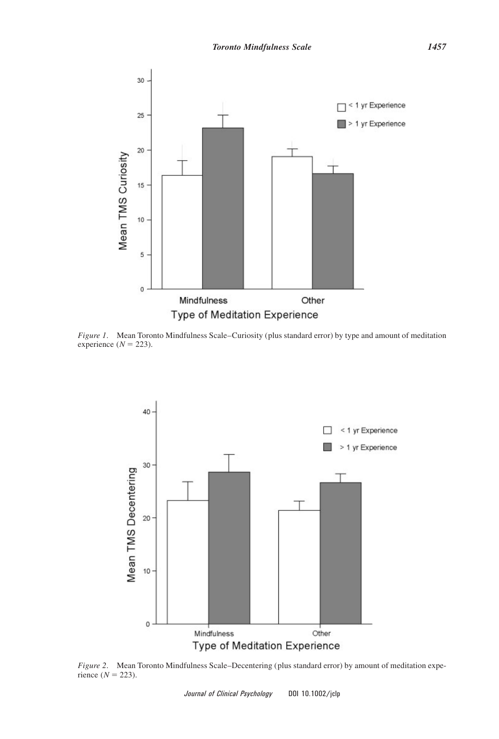

*Figure 1*. Mean Toronto Mindfulness Scale–Curiosity (plus standard error) by type and amount of meditation experience  $(N = 223)$ .



*Figure 2*. Mean Toronto Mindfulness Scale–Decentering (plus standard error) by amount of meditation experience  $(N = 223)$ .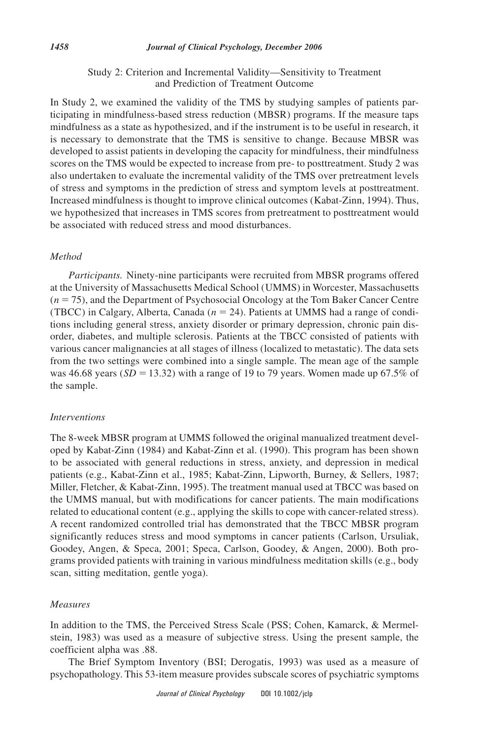#### Study 2: Criterion and Incremental Validity—Sensitivity to Treatment and Prediction of Treatment Outcome

In Study 2, we examined the validity of the TMS by studying samples of patients participating in mindfulness-based stress reduction (MBSR) programs. If the measure taps mindfulness as a state as hypothesized, and if the instrument is to be useful in research, it is necessary to demonstrate that the TMS is sensitive to change. Because MBSR was developed to assist patients in developing the capacity for mindfulness, their mindfulness scores on the TMS would be expected to increase from pre- to posttreatment. Study 2 was also undertaken to evaluate the incremental validity of the TMS over pretreatment levels of stress and symptoms in the prediction of stress and symptom levels at posttreatment. Increased mindfulness is thought to improve clinical outcomes (Kabat-Zinn, 1994). Thus, we hypothesized that increases in TMS scores from pretreatment to posttreatment would be associated with reduced stress and mood disturbances.

#### *Method*

*Participants.* Ninety-nine participants were recruited from MBSR programs offered at the University of Massachusetts Medical School (UMMS) in Worcester, Massachusetts (*n* 75), and the Department of Psychosocial Oncology at the Tom Baker Cancer Centre (TBCC) in Calgary, Alberta, Canada  $(n = 24)$ . Patients at UMMS had a range of conditions including general stress, anxiety disorder or primary depression, chronic pain disorder, diabetes, and multiple sclerosis. Patients at the TBCC consisted of patients with various cancer malignancies at all stages of illness (localized to metastatic). The data sets from the two settings were combined into a single sample. The mean age of the sample was 46.68 years ( $SD = 13.32$ ) with a range of 19 to 79 years. Women made up 67.5% of the sample.

#### *Interventions*

The 8-week MBSR program at UMMS followed the original manualized treatment developed by Kabat-Zinn (1984) and Kabat-Zinn et al. (1990). This program has been shown to be associated with general reductions in stress, anxiety, and depression in medical patients (e.g., Kabat-Zinn et al., 1985; Kabat-Zinn, Lipworth, Burney, & Sellers, 1987; Miller, Fletcher, & Kabat-Zinn, 1995). The treatment manual used at TBCC was based on the UMMS manual, but with modifications for cancer patients. The main modifications related to educational content (e.g., applying the skills to cope with cancer-related stress). A recent randomized controlled trial has demonstrated that the TBCC MBSR program significantly reduces stress and mood symptoms in cancer patients (Carlson, Ursuliak, Goodey, Angen, & Speca, 2001; Speca, Carlson, Goodey, & Angen, 2000). Both programs provided patients with training in various mindfulness meditation skills (e.g., body scan, sitting meditation, gentle yoga).

#### *Measures*

In addition to the TMS, the Perceived Stress Scale (PSS; Cohen, Kamarck, & Mermelstein, 1983) was used as a measure of subjective stress. Using the present sample, the coefficient alpha was .88.

The Brief Symptom Inventory (BSI; Derogatis, 1993) was used as a measure of psychopathology. This 53-item measure provides subscale scores of psychiatric symptoms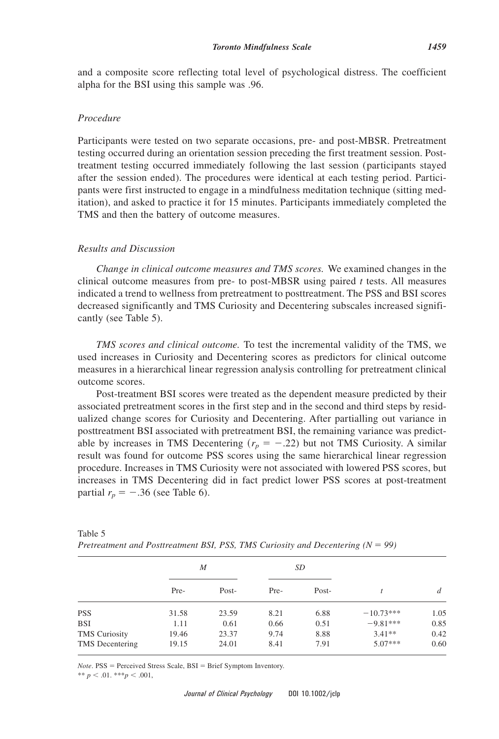and a composite score reflecting total level of psychological distress. The coefficient alpha for the BSI using this sample was .96.

#### *Procedure*

Participants were tested on two separate occasions, pre- and post-MBSR. Pretreatment testing occurred during an orientation session preceding the first treatment session. Posttreatment testing occurred immediately following the last session (participants stayed after the session ended). The procedures were identical at each testing period. Participants were first instructed to engage in a mindfulness meditation technique (sitting meditation), and asked to practice it for 15 minutes. Participants immediately completed the TMS and then the battery of outcome measures.

#### *Results and Discussion*

*Change in clinical outcome measures and TMS scores.* We examined changes in the clinical outcome measures from pre- to post-MBSR using paired *t* tests. All measures indicated a trend to wellness from pretreatment to posttreatment. The PSS and BSI scores decreased significantly and TMS Curiosity and Decentering subscales increased significantly (see Table 5).

*TMS scores and clinical outcome.* To test the incremental validity of the TMS, we used increases in Curiosity and Decentering scores as predictors for clinical outcome measures in a hierarchical linear regression analysis controlling for pretreatment clinical outcome scores.

Post-treatment BSI scores were treated as the dependent measure predicted by their associated pretreatment scores in the first step and in the second and third steps by residualized change scores for Curiosity and Decentering. After partialling out variance in posttreatment BSI associated with pretreatment BSI, the remaining variance was predictable by increases in TMS Decentering  $(r_p = -.22)$  but not TMS Curiosity. A similar result was found for outcome PSS scores using the same hierarchical linear regression procedure. Increases in TMS Curiosity were not associated with lowered PSS scores, but increases in TMS Decentering did in fact predict lower PSS scores at post-treatment partial  $r_p = -.36$  (see Table 6).

|                      | M     |       | SD   |       |             |      |  |
|----------------------|-------|-------|------|-------|-------------|------|--|
|                      | Pre-  | Post- | Pre- | Post- |             | d    |  |
| <b>PSS</b>           | 31.58 | 23.59 | 8.21 | 6.88  | $-10.73***$ | 1.05 |  |
| <b>BSI</b>           | 1.11  | 0.61  | 0.66 | 0.51  | $-9.81***$  | 0.85 |  |
| <b>TMS</b> Curiosity | 19.46 | 23.37 | 9.74 | 8.88  | $3.41**$    | 0.42 |  |
| TMS Decentering      | 19.15 | 24.01 | 8.41 | 7.91  | $5.07***$   | 0.60 |  |

Table 5 *Pretreatment and Posttreatment BSI, PSS, TMS Curiosity and Decentering (N 99)*

*Note*. PSS = Perceived Stress Scale, BSI = Brief Symptom Inventory.

 $** p < .01$ .  $*** p < .001$ ,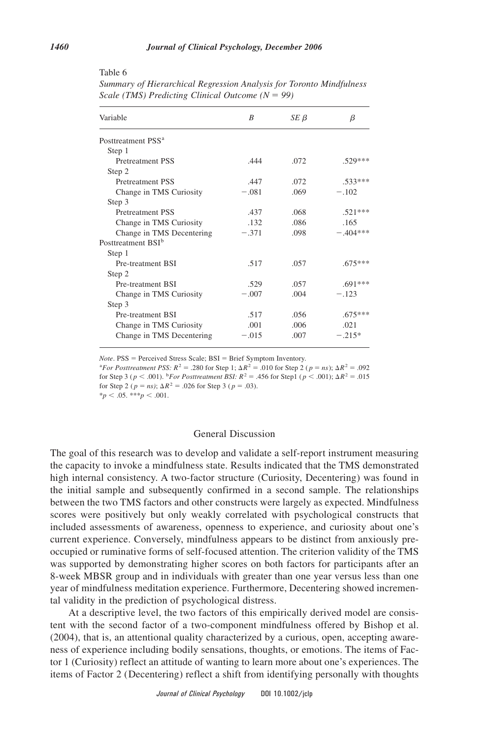Table 6

*Summary of Hierarchical Regression Analysis for Toronto Mindfulness Scale (TMS) Predicting Clinical Outcome (N 99)*

| Variable                       | B       | $SE$ $\beta$ | β          |
|--------------------------------|---------|--------------|------------|
| Posttreatment PSS <sup>a</sup> |         |              |            |
| Step 1                         |         |              |            |
| <b>Pretreatment PSS</b>        | .444    | .072         | .529***    |
| Step 2                         |         |              |            |
| <b>Pretreatment PSS</b>        | .447    | .072         | $.533***$  |
| Change in TMS Curiosity        | $-.081$ | .069         | $-.102$    |
| Step 3                         |         |              |            |
| <b>Pretreatment PSS</b>        | .437    | .068         | $.521***$  |
| Change in TMS Curiosity        | .132    | .086         | .165       |
| Change in TMS Decentering      | $-.371$ | .098         | $-.404***$ |
| Posttreatment BSI <sup>b</sup> |         |              |            |
| Step 1                         |         |              |            |
| Pre-treatment BSI              | .517    | .057         | $.675***$  |
| Step 2                         |         |              |            |
| Pre-treatment BSI              | .529    | .057         | $.691***$  |
| Change in TMS Curiosity        | $-.007$ | .004         | $-.123$    |
| Step 3                         |         |              |            |
| Pre-treatment BSI              | .517    | .056         | $.675***$  |
| Change in TMS Curiosity        | .001    | .006         | .021       |
| Change in TMS Decentering      | $-.015$ | .007         | $-.215*$   |

*Note*. PSS = Perceived Stress Scale; BSI = Brief Symptom Inventory.

<sup>a</sup>For Posttreatment PSS:  $R^2 = .280$  for Step 1;  $\Delta R^2 = .010$  for Step 2 ( $p = ns$ );  $\Delta R^2 = .092$ for Step 3 ( $p < .001$ ). *bFor Posttreatment BSI: R*<sup>2</sup> = .456 for Step1 ( $p < .001$ );  $\Delta R$ <sup>2</sup> = .015 for Step 2 ( $p = ns$ );  $\Delta R^2 = .026$  for Step 3 ( $p = .03$ ).  $*_{p}$  < .05. \*\*\* $p$  < .001.

#### General Discussion

The goal of this research was to develop and validate a self-report instrument measuring the capacity to invoke a mindfulness state. Results indicated that the TMS demonstrated high internal consistency. A two-factor structure (Curiosity, Decentering) was found in the initial sample and subsequently confirmed in a second sample. The relationships between the two TMS factors and other constructs were largely as expected. Mindfulness scores were positively but only weakly correlated with psychological constructs that included assessments of awareness, openness to experience, and curiosity about one's current experience. Conversely, mindfulness appears to be distinct from anxiously preoccupied or ruminative forms of self-focused attention. The criterion validity of the TMS was supported by demonstrating higher scores on both factors for participants after an 8-week MBSR group and in individuals with greater than one year versus less than one year of mindfulness meditation experience. Furthermore, Decentering showed incremental validity in the prediction of psychological distress.

At a descriptive level, the two factors of this empirically derived model are consistent with the second factor of a two-component mindfulness offered by Bishop et al. (2004), that is, an attentional quality characterized by a curious, open, accepting awareness of experience including bodily sensations, thoughts, or emotions. The items of Factor 1 (Curiosity) reflect an attitude of wanting to learn more about one's experiences. The items of Factor 2 (Decentering) reflect a shift from identifying personally with thoughts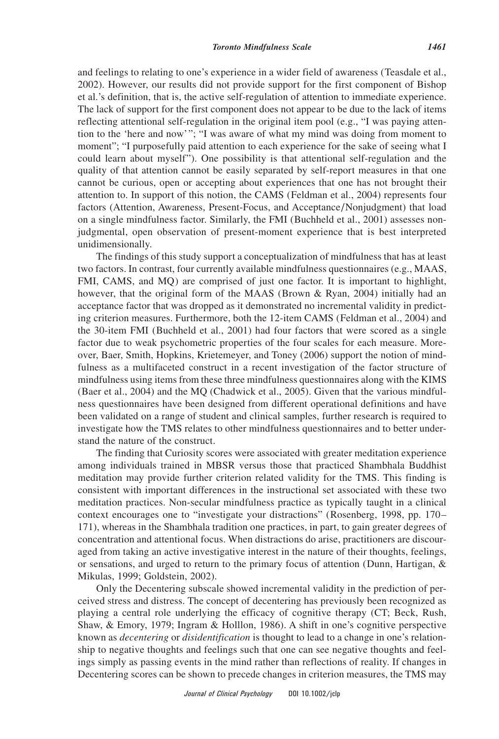and feelings to relating to one's experience in a wider field of awareness (Teasdale et al., 2002). However, our results did not provide support for the first component of Bishop et al.'s definition, that is, the active self-regulation of attention to immediate experience. The lack of support for the first component does not appear to be due to the lack of items reflecting attentional self-regulation in the original item pool (e.g., "I was paying attention to the 'here and now'"; "I was aware of what my mind was doing from moment to moment"; "I purposefully paid attention to each experience for the sake of seeing what I could learn about myself"). One possibility is that attentional self-regulation and the quality of that attention cannot be easily separated by self-report measures in that one cannot be curious, open or accepting about experiences that one has not brought their attention to. In support of this notion, the CAMS (Feldman et al., 2004) represents four factors (Attention, Awareness, Present-Focus, and Acceptance/Nonjudgment) that load on a single mindfulness factor. Similarly, the FMI (Buchheld et al., 2001) assesses nonjudgmental, open observation of present-moment experience that is best interpreted unidimensionally.

The findings of this study support a conceptualization of mindfulness that has at least two factors. In contrast, four currently available mindfulness questionnaires (e.g., MAAS, FMI, CAMS, and MQ) are comprised of just one factor. It is important to highlight, however, that the original form of the MAAS (Brown & Ryan, 2004) initially had an acceptance factor that was dropped as it demonstrated no incremental validity in predicting criterion measures. Furthermore, both the 12-item CAMS (Feldman et al., 2004) and the 30-item FMI (Buchheld et al., 2001) had four factors that were scored as a single factor due to weak psychometric properties of the four scales for each measure. Moreover, Baer, Smith, Hopkins, Krietemeyer, and Toney (2006) support the notion of mindfulness as a multifaceted construct in a recent investigation of the factor structure of mindfulness using items from these three mindfulness questionnaires along with the KIMS (Baer et al., 2004) and the MQ (Chadwick et al., 2005). Given that the various mindfulness questionnaires have been designed from different operational definitions and have been validated on a range of student and clinical samples, further research is required to investigate how the TMS relates to other mindfulness questionnaires and to better understand the nature of the construct.

The finding that Curiosity scores were associated with greater meditation experience among individuals trained in MBSR versus those that practiced Shambhala Buddhist meditation may provide further criterion related validity for the TMS. This finding is consistent with important differences in the instructional set associated with these two meditation practices. Non-secular mindfulness practice as typically taught in a clinical context encourages one to "investigate your distractions" (Rosenberg, 1998, pp. 170– 171), whereas in the Shambhala tradition one practices, in part, to gain greater degrees of concentration and attentional focus. When distractions do arise, practitioners are discouraged from taking an active investigative interest in the nature of their thoughts, feelings, or sensations, and urged to return to the primary focus of attention (Dunn, Hartigan,  $\&$ Mikulas, 1999; Goldstein, 2002).

Only the Decentering subscale showed incremental validity in the prediction of perceived stress and distress. The concept of decentering has previously been recognized as playing a central role underlying the efficacy of cognitive therapy (CT; Beck, Rush, Shaw, & Emory, 1979; Ingram & Holllon, 1986). A shift in one's cognitive perspective known as *decentering* or *disidentification* is thought to lead to a change in one's relationship to negative thoughts and feelings such that one can see negative thoughts and feelings simply as passing events in the mind rather than reflections of reality. If changes in Decentering scores can be shown to precede changes in criterion measures, the TMS may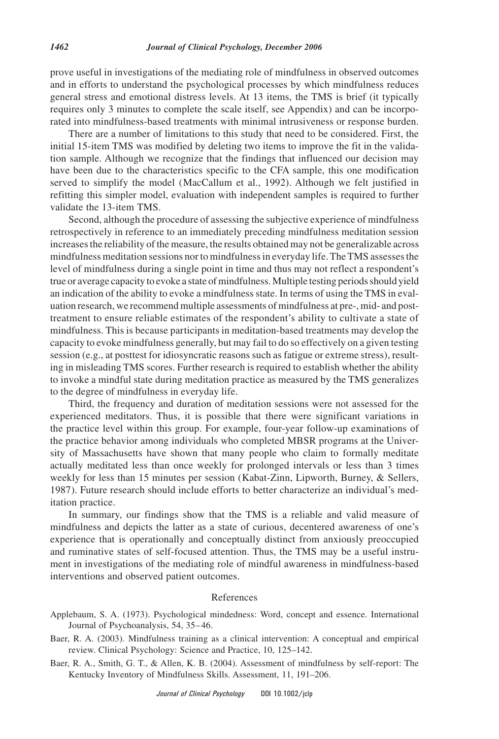prove useful in investigations of the mediating role of mindfulness in observed outcomes and in efforts to understand the psychological processes by which mindfulness reduces general stress and emotional distress levels. At 13 items, the TMS is brief (it typically requires only 3 minutes to complete the scale itself, see Appendix) and can be incorporated into mindfulness-based treatments with minimal intrusiveness or response burden.

There are a number of limitations to this study that need to be considered. First, the initial 15-item TMS was modified by deleting two items to improve the fit in the validation sample. Although we recognize that the findings that influenced our decision may have been due to the characteristics specific to the CFA sample, this one modification served to simplify the model (MacCallum et al., 1992). Although we felt justified in refitting this simpler model, evaluation with independent samples is required to further validate the 13-item TMS.

Second, although the procedure of assessing the subjective experience of mindfulness retrospectively in reference to an immediately preceding mindfulness meditation session increases the reliability of the measure, the results obtained may not be generalizable across mindfulness meditation sessions nor to mindfulness in everyday life. The TMS assesses the level of mindfulness during a single point in time and thus may not reflect a respondent's true or average capacity to evoke a state of mindfulness.Multiple testing periods should yield an indication of the ability to evoke a mindfulness state. In terms of using the TMS in evaluation research, we recommend multiple assessments of mindfulness at pre-, mid- and posttreatment to ensure reliable estimates of the respondent's ability to cultivate a state of mindfulness. This is because participants in meditation-based treatments may develop the capacity to evoke mindfulness generally, but may fail to do so effectively on a given testing session (e.g., at posttest for idiosyncratic reasons such as fatigue or extreme stress), resulting in misleading TMS scores. Further research is required to establish whether the ability to invoke a mindful state during meditation practice as measured by the TMS generalizes to the degree of mindfulness in everyday life.

Third, the frequency and duration of meditation sessions were not assessed for the experienced meditators. Thus, it is possible that there were significant variations in the practice level within this group. For example, four-year follow-up examinations of the practice behavior among individuals who completed MBSR programs at the University of Massachusetts have shown that many people who claim to formally meditate actually meditated less than once weekly for prolonged intervals or less than 3 times weekly for less than 15 minutes per session (Kabat-Zinn, Lipworth, Burney, & Sellers, 1987). Future research should include efforts to better characterize an individual's meditation practice.

In summary, our findings show that the TMS is a reliable and valid measure of mindfulness and depicts the latter as a state of curious, decentered awareness of one's experience that is operationally and conceptually distinct from anxiously preoccupied and ruminative states of self-focused attention. Thus, the TMS may be a useful instrument in investigations of the mediating role of mindful awareness in mindfulness-based interventions and observed patient outcomes.

#### References

- Applebaum, S. A. (1973). Psychological mindedness: Word, concept and essence. International Journal of Psychoanalysis, 54, 35– 46.
- Baer, R. A. (2003). Mindfulness training as a clinical intervention: A conceptual and empirical review. Clinical Psychology: Science and Practice, 10, 125–142.
- Baer, R. A., Smith, G. T., & Allen, K. B. (2004). Assessment of mindfulness by self-report: The Kentucky Inventory of Mindfulness Skills. Assessment, 11, 191–206.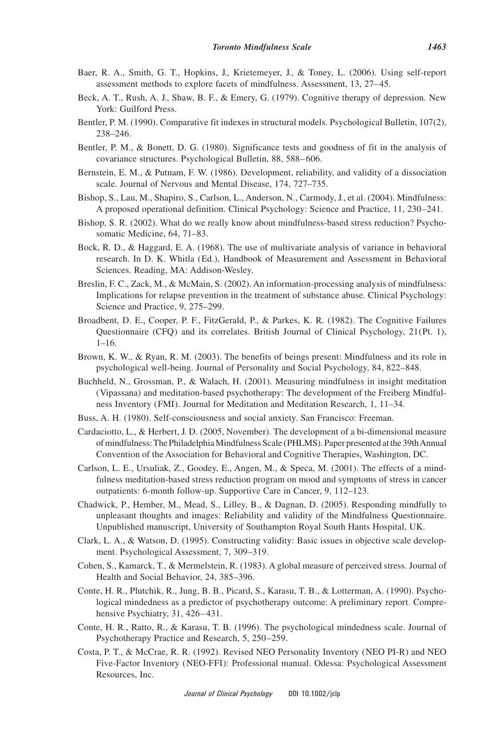- Baer, R. A., Smith, G. T., Hopkins, J., Krietemeyer, J., & Toney, L. (2006). Using self-report assessment methods to explore facets of mindfulness. Assessment, 13, 27– 45.
- Beck, A. T., Rush, A. J., Shaw, B. F., & Emery, G. (1979). Cognitive therapy of depression. New York: Guilford Press.
- Bentler, P. M. (1990). Comparative fit indexes in structural models. Psychological Bulletin, 107(2), 238–246.
- Bentler, P. M., & Bonett, D. G. (1980). Significance tests and goodness of fit in the analysis of covariance structures. Psychological Bulletin, 88, 588– 606.
- Bernstein, E. M., & Putnam, F. W. (1986). Development, reliability, and validity of a dissociation scale. Journal of Nervous and Mental Disease, 174, 727–735.
- Bishop, S., Lau, M., Shapiro, S., Carlson, L., Anderson, N., Carmody, J., et al. (2004). Mindfulness: A proposed operational definition. Clinical Psychology: Science and Practice, 11, 230–241.
- Bishop, S. R. (2002). What do we really know about mindfulness-based stress reduction? Psychosomatic Medicine, 64, 71–83.
- Bock, R. D., & Haggard, E. A. (1968). The use of multivariate analysis of variance in behavioral research. In D. K. Whitla (Ed.), Handbook of Measurement and Assessment in Behavioral Sciences. Reading, MA: Addison-Wesley.
- Breslin, F. C., Zack, M., & McMain, S. (2002). An information-processing analysis of mindfulness: Implications for relapse prevention in the treatment of substance abuse. Clinical Psychology: Science and Practice, 9, 275–299.
- Broadbent, D. E., Cooper, P. F., FitzGerald, P., & Parkes, K. R. (1982). The Cognitive Failures Questionnaire (CFQ) and its correlates. British Journal of Clinical Psychology, 21(Pt. 1),  $1 - 16$ .
- Brown, K. W., & Ryan, R. M. (2003). The benefits of beings present: Mindfulness and its role in psychological well-being. Journal of Personality and Social Psychology, 84, 822–848.
- Buchheld, N., Grossman, P., & Walach, H. (2001). Measuring mindfulness in insight meditation (Vipassana) and meditation-based psychotherapy: The development of the Freiberg Mindfulness Inventory (FMI). Journal for Meditation and Meditation Research, 1, 11–34.
- Buss, A. H. (1980). Self-consciousness and social anxiety. San Francisco: Freeman.
- Cardaciotto, L., & Herbert, J. D. (2005, November). The development of a bi-dimensional measure of mindfulness:The PhiladelphiaMindfulness Scale (PHLMS). Paper presented atthe 39thAnnual Convention of the Association for Behavioral and Cognitive Therapies, Washington, DC.
- Carlson, L. E., Ursuliak, Z., Goodey, E., Angen, M., & Speca, M. (2001). The effects of a mindfulness meditation-based stress reduction program on mood and symptoms of stress in cancer outpatients: 6-month follow-up. Supportive Care in Cancer, 9, 112–123.
- Chadwick, P., Hember, M., Mead, S., Lilley, B., & Dagnan, D. (2005). Responding mindfully to unpleasant thoughts and images: Reliability and validity of the Mindfulness Questionnaire. Unpublished manuscript, University of Southampton Royal South Hants Hospital, UK.
- Clark, L. A., & Watson, D. (1995). Constructing validity: Basic issues in objective scale development. Psychological Assessment, 7, 309–319.
- Cohen, S., Kamarck, T., & Mermelstein, R. (1983). A global measure of perceived stress. Journal of Health and Social Behavior, 24, 385–396.
- Conte, H. R., Plutchik, R., Jung, B. B., Picard, S., Karasu, T. B., & Lotterman, A. (1990). Psychological mindedness as a predictor of psychotherapy outcome: A preliminary report. Comprehensive Psychiatry, 31, 426-431.
- Conte, H. R., Ratto, R., & Karasu, T. B. (1996). The psychological mindedness scale. Journal of Psychotherapy Practice and Research, 5, 250–259.
- Costa, P. T., & McCrae, R. R. (1992). Revised NEO Personality Inventory (NEO PI-R) and NEO Five-Factor Inventory (NEO-FFI): Professional manual. Odessa: Psychological Assessment Resources, Inc.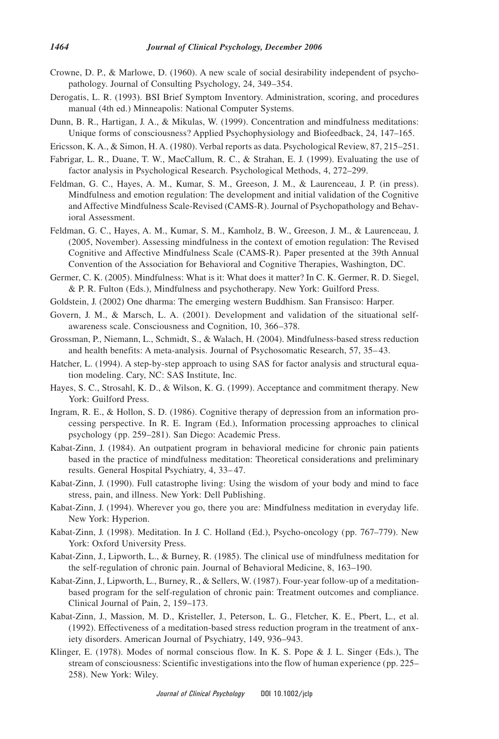- Crowne, D. P., & Marlowe, D. (1960). A new scale of social desirability independent of psychopathology. Journal of Consulting Psychology, 24, 349–354.
- Derogatis, L. R. (1993). BSI Brief Symptom Inventory. Administration, scoring, and procedures manual (4th ed.) Minneapolis: National Computer Systems.
- Dunn, B. R., Hartigan, J. A., & Mikulas, W. (1999). Concentration and mindfulness meditations: Unique forms of consciousness? Applied Psychophysiology and Biofeedback, 24, 147–165.
- Ericsson, K. A., & Simon, H. A. (1980). Verbal reports as data. Psychological Review, 87, 215–251.
- Fabrigar, L. R., Duane, T. W., MacCallum, R. C., & Strahan, E. J. (1999). Evaluating the use of factor analysis in Psychological Research. Psychological Methods, 4, 272–299.
- Feldman, G. C., Hayes, A. M., Kumar, S. M., Greeson, J. M., & Laurenceau, J. P. (in press). Mindfulness and emotion regulation: The development and initial validation of the Cognitive and Affective Mindfulness Scale-Revised (CAMS-R). Journal of Psychopathology and Behavioral Assessment.
- Feldman, G. C., Hayes, A. M., Kumar, S. M., Kamholz, B. W., Greeson, J. M., & Laurenceau, J. (2005, November). Assessing mindfulness in the context of emotion regulation: The Revised Cognitive and Affective Mindfulness Scale (CAMS-R). Paper presented at the 39th Annual Convention of the Association for Behavioral and Cognitive Therapies, Washington, DC.
- Germer, C. K. (2005). Mindfulness: What is it: What does it matter? In C. K. Germer, R. D. Siegel, & P. R. Fulton (Eds.), Mindfulness and psychotherapy. New York: Guilford Press.
- Goldstein, J. (2002) One dharma: The emerging western Buddhism. San Fransisco: Harper.
- Govern, J. M., & Marsch, L. A. (2001). Development and validation of the situational selfawareness scale. Consciousness and Cognition, 10, 366–378.
- Grossman, P., Niemann, L., Schmidt, S., & Walach, H. (2004). Mindfulness-based stress reduction and health benefits: A meta-analysis. Journal of Psychosomatic Research, 57, 35– 43.
- Hatcher, L. (1994). A step-by-step approach to using SAS for factor analysis and structural equation modeling. Cary, NC: SAS Institute, Inc.
- Hayes, S. C., Strosahl, K. D., & Wilson, K. G. (1999). Acceptance and commitment therapy. New York: Guilford Press.
- Ingram, R. E., & Hollon, S. D. (1986). Cognitive therapy of depression from an information processing perspective. In R. E. Ingram (Ed.), Information processing approaches to clinical psychology (pp. 259–281). San Diego: Academic Press.
- Kabat-Zinn, J. (1984). An outpatient program in behavioral medicine for chronic pain patients based in the practice of mindfulness meditation: Theoretical considerations and preliminary results. General Hospital Psychiatry, 4, 33– 47.
- Kabat-Zinn, J. (1990). Full catastrophe living: Using the wisdom of your body and mind to face stress, pain, and illness. New York: Dell Publishing.
- Kabat-Zinn, J. (1994). Wherever you go, there you are: Mindfulness meditation in everyday life. New York: Hyperion.
- Kabat-Zinn, J. (1998). Meditation. In J. C. Holland (Ed.), Psycho-oncology (pp. 767–779). New York: Oxford University Press.
- Kabat-Zinn, J., Lipworth, L., & Burney, R. (1985). The clinical use of mindfulness meditation for the self-regulation of chronic pain. Journal of Behavioral Medicine, 8, 163–190.
- Kabat-Zinn, J., Lipworth, L., Burney, R., & Sellers, W. (1987). Four-year follow-up of a meditationbased program for the self-regulation of chronic pain: Treatment outcomes and compliance. Clinical Journal of Pain, 2, 159–173.
- Kabat-Zinn, J., Massion, M. D., Kristeller, J., Peterson, L. G., Fletcher, K. E., Pbert, L., et al. (1992). Effectiveness of a meditation-based stress reduction program in the treatment of anxiety disorders. American Journal of Psychiatry, 149, 936–943.
- Klinger, E. (1978). Modes of normal conscious flow. In K. S. Pope & J. L. Singer (Eds.), The stream of consciousness: Scientific investigations into the flow of human experience (pp. 225– 258). New York: Wiley.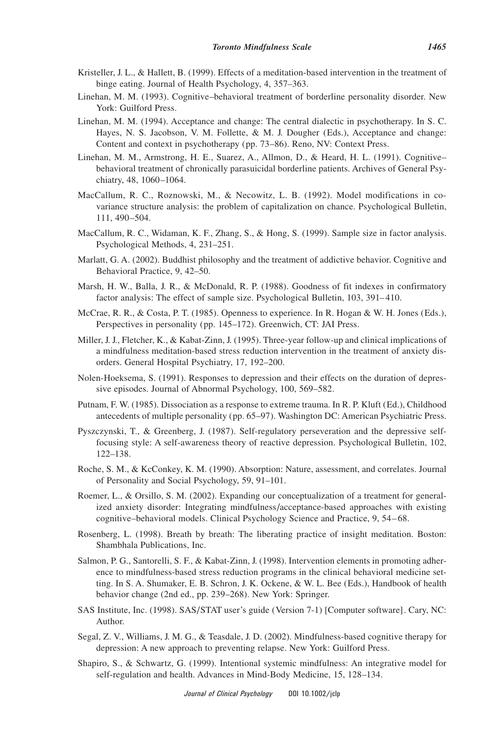- Kristeller, J. L., & Hallett, B. (1999). Effects of a meditation-based intervention in the treatment of binge eating. Journal of Health Psychology, 4, 357–363.
- Linehan, M. M. (1993). Cognitive–behavioral treatment of borderline personality disorder. New York: Guilford Press.
- Linehan, M. M. (1994). Acceptance and change: The central dialectic in psychotherapy. In S. C. Hayes, N. S. Jacobson, V. M. Follette, & M. J. Dougher (Eds.), Acceptance and change: Content and context in psychotherapy (pp. 73–86). Reno, NV: Context Press.
- Linehan, M. M., Armstrong, H. E., Suarez, A., Allmon, D., & Heard, H. L. (1991). Cognitive– behavioral treatment of chronically parasuicidal borderline patients. Archives of General Psychiatry, 48, 1060–1064.
- MacCallum, R. C., Roznowski, M., & Necowitz, L. B. (1992). Model modifications in covariance structure analysis: the problem of capitalization on chance. Psychological Bulletin, 111, 490–504.
- MacCallum, R. C., Widaman, K. F., Zhang, S., & Hong, S. (1999). Sample size in factor analysis. Psychological Methods, 4, 231–251.
- Marlatt, G. A. (2002). Buddhist philosophy and the treatment of addictive behavior. Cognitive and Behavioral Practice, 9, 42–50.
- Marsh, H. W., Balla, J. R., & McDonald, R. P. (1988). Goodness of fit indexes in confirmatory factor analysis: The effect of sample size. Psychological Bulletin, 103, 391–410.
- McCrae, R. R., & Costa, P. T. (1985). Openness to experience. In R. Hogan & W. H. Jones (Eds.), Perspectives in personality (pp. 145–172). Greenwich, CT: JAI Press.
- Miller, J. J., Fletcher, K., & Kabat-Zinn, J. (1995). Three-year follow-up and clinical implications of a mindfulness meditation-based stress reduction intervention in the treatment of anxiety disorders. General Hospital Psychiatry, 17, 192–200.
- Nolen-Hoeksema, S. (1991). Responses to depression and their effects on the duration of depressive episodes. Journal of Abnormal Psychology, 100, 569–582.
- Putnam, F. W. (1985). Dissociation as a response to extreme trauma. In R. P. Kluft (Ed.), Childhood antecedents of multiple personality (pp. 65–97). Washington DC: American Psychiatric Press.
- Pyszczynski, T., & Greenberg, J. (1987). Self-regulatory perseveration and the depressive selffocusing style: A self-awareness theory of reactive depression. Psychological Bulletin, 102, 122–138.
- Roche, S. M., & KcConkey, K. M. (1990). Absorption: Nature, assessment, and correlates. Journal of Personality and Social Psychology, 59, 91–101.
- Roemer, L., & Orsillo, S. M. (2002). Expanding our conceptualization of a treatment for generalized anxiety disorder: Integrating mindfulness/acceptance-based approaches with existing cognitive–behavioral models. Clinical Psychology Science and Practice, 9, 54–68.
- Rosenberg, L. (1998). Breath by breath: The liberating practice of insight meditation. Boston: Shambhala Publications, Inc.
- Salmon, P. G., Santorelli, S. F., & Kabat-Zinn, J. (1998). Intervention elements in promoting adherence to mindfulness-based stress reduction programs in the clinical behavioral medicine setting. In S. A. Shumaker, E. B. Schron, J. K. Ockene, & W. L. Bee (Eds.), Handbook of health behavior change (2nd ed., pp. 239–268). New York: Springer.
- SAS Institute, Inc. (1998). SAS/STAT user's guide (Version 7-1) [Computer software]. Cary, NC: Author.
- Segal, Z. V., Williams, J. M. G., & Teasdale, J. D. (2002). Mindfulness-based cognitive therapy for depression: A new approach to preventing relapse. New York: Guilford Press.
- Shapiro, S., & Schwartz, G. (1999). Intentional systemic mindfulness: An integrative model for self-regulation and health. Advances in Mind-Body Medicine, 15, 128–134.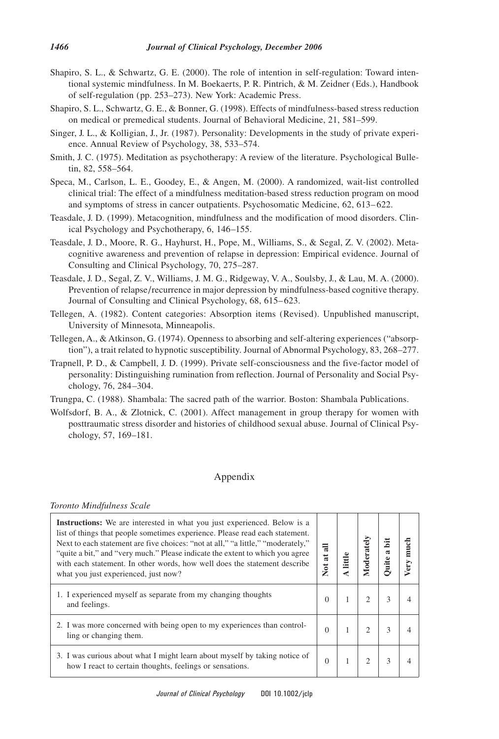- Shapiro, S. L., & Schwartz, G. E. (2000). The role of intention in self-regulation: Toward intentional systemic mindfulness. In M. Boekaerts, P. R. Pintrich, & M. Zeidner (Eds.), Handbook of self-regulation (pp. 253–273). New York: Academic Press.
- Shapiro, S. L., Schwartz, G. E., & Bonner, G. (1998). Effects of mindfulness-based stress reduction on medical or premedical students. Journal of Behavioral Medicine, 21, 581–599.
- Singer, J. L., & Kolligian, J., Jr. (1987). Personality: Developments in the study of private experience. Annual Review of Psychology, 38, 533–574.
- Smith, J. C. (1975). Meditation as psychotherapy: A review of the literature. Psychological Bulletin, 82, 558–564.
- Speca, M., Carlson, L. E., Goodey, E., & Angen, M. (2000). A randomized, wait-list controlled clinical trial: The effect of a mindfulness meditation-based stress reduction program on mood and symptoms of stress in cancer outpatients. Psychosomatic Medicine, 62, 613–622.
- Teasdale, J. D. (1999). Metacognition, mindfulness and the modification of mood disorders. Clinical Psychology and Psychotherapy, 6, 146–155.
- Teasdale, J. D., Moore, R. G., Hayhurst, H., Pope, M., Williams, S., & Segal, Z. V. (2002). Metacognitive awareness and prevention of relapse in depression: Empirical evidence. Journal of Consulting and Clinical Psychology, 70, 275–287.
- Teasdale, J. D., Segal, Z. V., Williams, J. M. G., Ridgeway, V. A., Soulsby, J., & Lau, M. A. (2000). Prevention of relapse/recurrence in major depression by mindfulness-based cognitive therapy. Journal of Consulting and Clinical Psychology, 68, 615–623.
- Tellegen, A. (1982). Content categories: Absorption items (Revised). Unpublished manuscript, University of Minnesota, Minneapolis.
- Tellegen, A., & Atkinson, G. (1974). Openness to absorbing and self-altering experiences ("absorption"), a trait related to hypnotic susceptibility. Journal of Abnormal Psychology, 83, 268–277.
- Trapnell, P. D., & Campbell, J. D. (1999). Private self-consciousness and the five-factor model of personality: Distinguishing rumination from reflection. Journal of Personality and Social Psychology, 76, 284–304.
- Trungpa, C. (1988). Shambala: The sacred path of the warrior. Boston: Shambala Publications.
- Wolfsdorf, B. A., & Zlotnick, C. (2001). Affect management in group therapy for women with posttraumatic stress disorder and histories of childhood sexual abuse. Journal of Clinical Psychology, 57, 169–181.

#### Appendix

#### *Toronto Mindfulness Scale*

| Instructions: We are interested in what you just experienced. Below is a<br>list of things that people sometimes experience. Please read each statement.<br>Next to each statement are five choices: "not at all," "a little," "moderately,"<br>"quite a bit," and "very much." Please indicate the extent to which you agree<br>with each statement. In other words, how well does the statement describe<br>what you just experienced, just now? | 긓<br>$\overline{a}$<br>Not | Moderately                  | bit<br>ಡ<br><b>Ouite</b> | much<br>Very |
|----------------------------------------------------------------------------------------------------------------------------------------------------------------------------------------------------------------------------------------------------------------------------------------------------------------------------------------------------------------------------------------------------------------------------------------------------|----------------------------|-----------------------------|--------------------------|--------------|
| 1. I experienced myself as separate from my changing thoughts<br>and feelings.                                                                                                                                                                                                                                                                                                                                                                     | $\Omega$                   | $\overline{2}$              | 3                        |              |
| 2. I was more concerned with being open to my experiences than control-<br>ling or changing them.                                                                                                                                                                                                                                                                                                                                                  | $\Omega$                   | $\overline{2}$              | 3                        |              |
| 3. I was curious about what I might learn about myself by taking notice of<br>how I react to certain thoughts, feelings or sensations.                                                                                                                                                                                                                                                                                                             | $\Omega$                   | $\mathcal{D}_{\mathcal{L}}$ | 3                        |              |